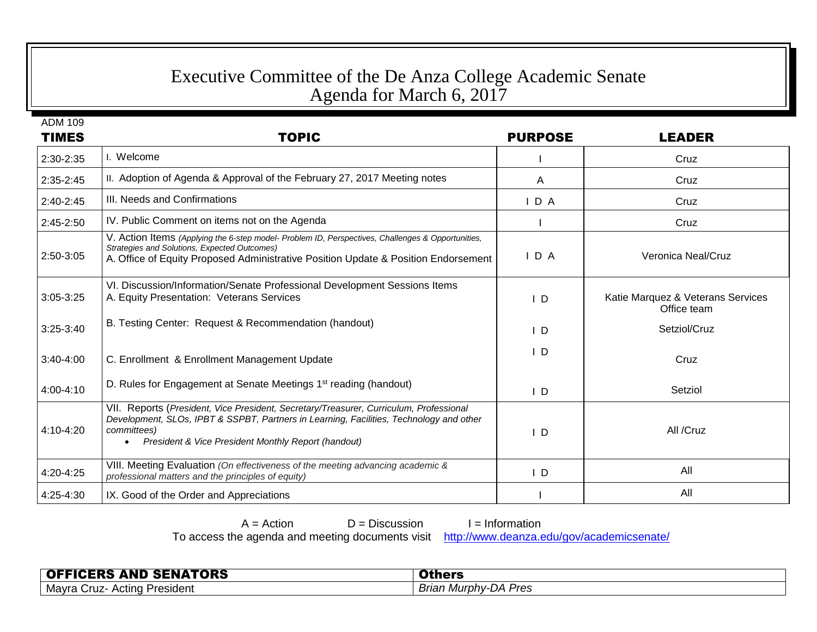## Executive Committee of the De Anza College Academic Senate Agenda for March 6, 2017

ADM 109

| <b>TIMES</b>  | <b>TOPIC</b>                                                                                                                                                                                                                                            | <b>PURPOSE</b> | <b>LEADER</b>                                    |
|---------------|---------------------------------------------------------------------------------------------------------------------------------------------------------------------------------------------------------------------------------------------------------|----------------|--------------------------------------------------|
| 2:30-2:35     | I. Welcome                                                                                                                                                                                                                                              |                | Cruz                                             |
| 2:35-2:45     | II. Adoption of Agenda & Approval of the February 27, 2017 Meeting notes                                                                                                                                                                                | A              | Cruz                                             |
| $2:40-2:45$   | III. Needs and Confirmations                                                                                                                                                                                                                            | IDA            | Cruz                                             |
| 2:45-2:50     | IV. Public Comment on items not on the Agenda                                                                                                                                                                                                           |                | Cruz                                             |
| 2:50-3:05     | V. Action Items (Applying the 6-step model- Problem ID, Perspectives, Challenges & Opportunities,<br>Strategies and Solutions, Expected Outcomes)<br>A. Office of Equity Proposed Administrative Position Update & Position Endorsement                 | IDA            | Veronica Neal/Cruz                               |
| $3:05 - 3:25$ | VI. Discussion/Information/Senate Professional Development Sessions Items<br>A. Equity Presentation: Veterans Services                                                                                                                                  | I D            | Katie Marquez & Veterans Services<br>Office team |
| $3:25-3:40$   | B. Testing Center: Request & Recommendation (handout)                                                                                                                                                                                                   | ID             | Setziol/Cruz                                     |
| $3:40-4:00$   | C. Enrollment & Enrollment Management Update                                                                                                                                                                                                            | I D            | Cruz                                             |
| 4:00-4:10     | D. Rules for Engagement at Senate Meetings 1 <sup>st</sup> reading (handout)                                                                                                                                                                            | $\mathsf{I}$ D | Setziol                                          |
| 4:10-4:20     | VII. Reports (President, Vice President, Secretary/Treasurer, Curriculum, Professional<br>Development, SLOs, IPBT & SSPBT, Partners in Learning, Facilities, Technology and other<br>committees)<br>President & Vice President Monthly Report (handout) | ΙD             | All /Cruz                                        |
| 4:20-4:25     | VIII. Meeting Evaluation (On effectiveness of the meeting advancing academic &<br>professional matters and the principles of equity)                                                                                                                    | $\mathsf{I}$ D | All                                              |
| 4:25-4:30     | IX. Good of the Order and Appreciations                                                                                                                                                                                                                 |                | All                                              |

| $A = Action$                                                                               | $D =$ Discussion | $I = Information$ |  |
|--------------------------------------------------------------------------------------------|------------------|-------------------|--|
| To access the agenda and meeting documents visit http://www.deanza.edu/gov/academicsenate/ |                  |                   |  |

**OFFICERS AND SENATORS OFFICERS Others Others Others Others Others Others Others Others Others Others Others Others Others Others Others Others Others Others Others Others Others Mayra Cruz- Acting President**